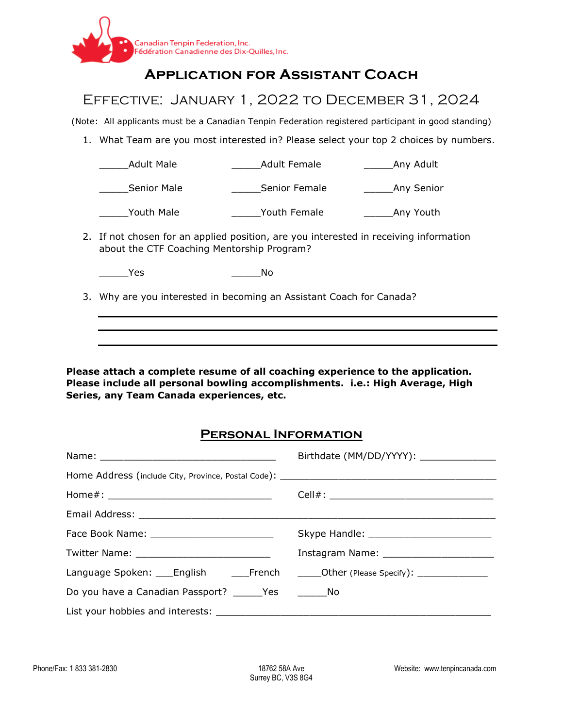

## **Application for Assistant Coach**

## Effective: January 1, 2022 to December 31, 2024

(Note: All applicants must be a Canadian Tenpin Federation registered participant in good standing)

1. What Team are you most interested in? Please select your top 2 choices by numbers.

| <b>Adult Male</b>                                                                                                                   | <b>Adult Female</b> | Any Adult              |
|-------------------------------------------------------------------------------------------------------------------------------------|---------------------|------------------------|
| Senior Male                                                                                                                         | Senior Female       | Any Senior             |
| Youth Male                                                                                                                          | Youth Female        | Any Youth <sub>-</sub> |
| 2. If not chosen for an applied position, are you interested in receiving information<br>about the CTF Coaching Mentorship Program? |                     |                        |
| Yes                                                                                                                                 | No                  |                        |
| 3. Why are you interested in becoming an Assistant Coach for Canada?                                                                |                     |                        |
|                                                                                                                                     |                     |                        |

**Please attach a complete resume of all coaching experience to the application. Please include all personal bowling accomplishments. i.e.: High Average, High Series, any Team Canada experiences, etc.**

## **Personal Information**

| Language Spoken: ____English _________French _______Other (Please Specify): _________________ |  |  |
|-----------------------------------------------------------------------------------------------|--|--|
| Do you have a Canadian Passport? ______Yes __________No                                       |  |  |
|                                                                                               |  |  |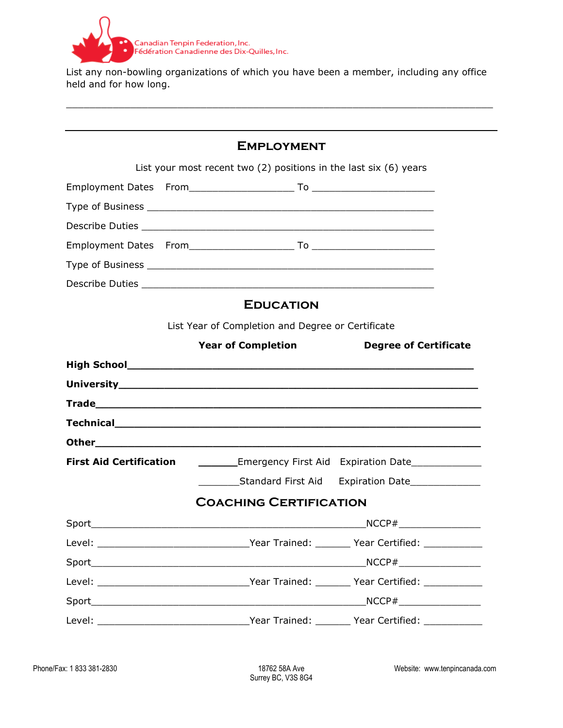

List any non-bowling organizations of which you have been a member, including any office held and for how long.

 $\overline{\phantom{a}}$  , and the contribution of the contribution of the contribution of the contribution of the contribution of the contribution of the contribution of the contribution of the contribution of the contribution of the

| <b>EMPLOYMENT</b>                                                     |                                                   |                                                               |  |  |  |
|-----------------------------------------------------------------------|---------------------------------------------------|---------------------------------------------------------------|--|--|--|
| List your most recent two $(2)$ positions in the last six $(6)$ years |                                                   |                                                               |  |  |  |
|                                                                       |                                                   |                                                               |  |  |  |
|                                                                       |                                                   |                                                               |  |  |  |
|                                                                       |                                                   |                                                               |  |  |  |
|                                                                       |                                                   |                                                               |  |  |  |
|                                                                       |                                                   |                                                               |  |  |  |
|                                                                       |                                                   |                                                               |  |  |  |
| <b>EDUCATION</b>                                                      |                                                   |                                                               |  |  |  |
|                                                                       | List Year of Completion and Degree or Certificate |                                                               |  |  |  |
|                                                                       | <b>Year of Completion</b>                         | <b>Degree of Certificate</b>                                  |  |  |  |
|                                                                       |                                                   |                                                               |  |  |  |
|                                                                       |                                                   |                                                               |  |  |  |
|                                                                       |                                                   |                                                               |  |  |  |
|                                                                       |                                                   |                                                               |  |  |  |
|                                                                       |                                                   |                                                               |  |  |  |
| <b>First Aid Certification</b>                                        |                                                   | __________Emergency First Aid Expiration Date________________ |  |  |  |
|                                                                       |                                                   | Standard First Aid Expiration Date                            |  |  |  |
| <b>COACHING CERTIFICATION</b>                                         |                                                   |                                                               |  |  |  |
|                                                                       | $\mathsf{SO}$                                     |                                                               |  |  |  |
| Level:                                                                |                                                   | Year Trained: _______ Year Certified:                         |  |  |  |
|                                                                       |                                                   |                                                               |  |  |  |
|                                                                       |                                                   |                                                               |  |  |  |
|                                                                       |                                                   |                                                               |  |  |  |
|                                                                       |                                                   |                                                               |  |  |  |